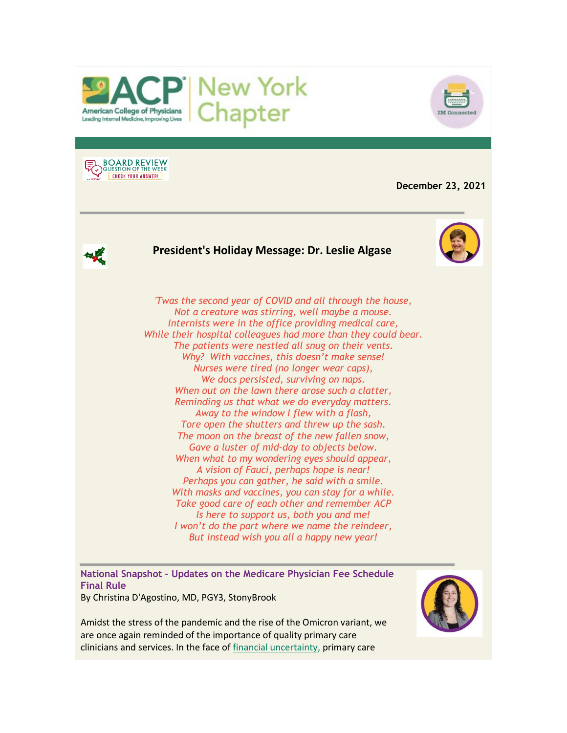



**BOARD REVIEW CHECK YOUR ANSWER!** 

**December 23, 2021**

# **President's Holiday Message: Dr. Leslie Algase**



*'Twas the second year of COVID and all through the house, Not a creature was stirring, well maybe a mouse. Internists were in the office providing medical care, While their hospital colleagues had more than they could bear. The patients were nestled all snug on their vents. Why? With vaccines, this doesn't make sense! Nurses were tired (no longer wear caps), We docs persisted, surviving on naps. When out on the lawn there arose such a clatter, Reminding us that what we do everyday matters. Away to the window I flew with a flash, Tore open the shutters and threw up the sash. The moon on the breast of the new fallen snow, Gave a luster of mid-day to objects below. When what to my wondering eyes should appear, A vision of Fauci, perhaps hope is near! Perhaps you can gather, he said with a smile. With masks and vaccines, you can stay for a while. Take good care of each other and remember ACP Is here to support us, both you and me! I won't do the part where we name the reindeer, But instead wish you all a happy new year!*

**National Snapshot – Updates on the Medicare Physician Fee Schedule Final Rule**

By Christina D'Agostino, MD, PGY3, StonyBrook

Amidst the stress of the pandemic and the rise of the Omicron variant, we are once again reminded of the importance of quality primary care clinicians and services. In the face o[f financial uncertainty,](https://www.votervoice.net/BroadcastLinks/JwgJneDXeo4oheiB-KWIzw) primary care

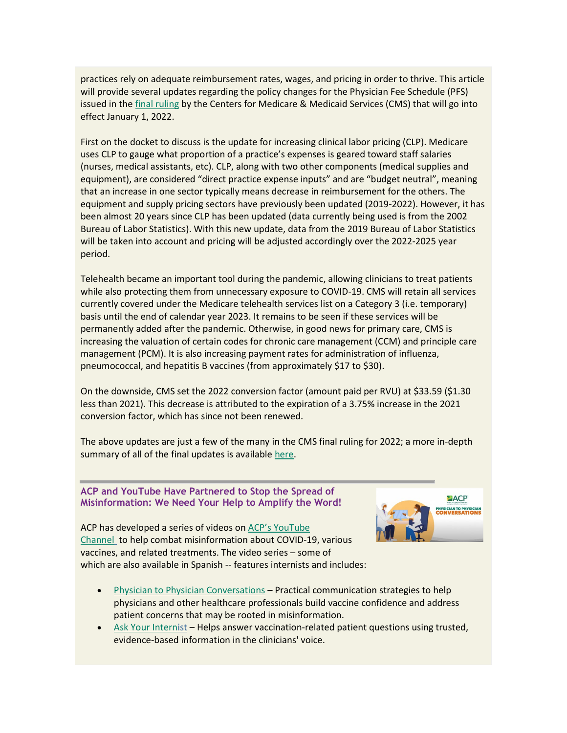practices rely on adequate reimbursement rates, wages, and pricing in order to thrive. This article will provide several updates regarding the policy changes for the Physician Fee Schedule (PFS) issued in the [final ruling](https://www.votervoice.net/BroadcastLinks/i9QGl4iQ3gXnYGdMnlMTjQ) by the Centers for Medicare & Medicaid Services (CMS) that will go into effect January 1, 2022.

First on the docket to discuss is the update for increasing clinical labor pricing (CLP). Medicare uses CLP to gauge what proportion of a practice's expenses is geared toward staff salaries (nurses, medical assistants, etc). CLP, along with two other components (medical supplies and equipment), are considered "direct practice expense inputs" and are "budget neutral", meaning that an increase in one sector typically means decrease in reimbursement for the others. The equipment and supply pricing sectors have previously been updated (2019-2022). However, it has been almost 20 years since CLP has been updated (data currently being used is from the 2002 Bureau of Labor Statistics). With this new update, data from the 2019 Bureau of Labor Statistics will be taken into account and pricing will be adjusted accordingly over the 2022-2025 year period.

Telehealth became an important tool during the pandemic, allowing clinicians to treat patients while also protecting them from unnecessary exposure to COVID-19. CMS will retain all services currently covered under the Medicare telehealth services list on a Category 3 (i.e. temporary) basis until the end of calendar year 2023. It remains to be seen if these services will be permanently added after the pandemic. Otherwise, in good news for primary care, CMS is increasing the valuation of certain codes for chronic care management (CCM) and principle care management (PCM). It is also increasing payment rates for administration of influenza, pneumococcal, and hepatitis B vaccines (from approximately \$17 to \$30).

On the downside, CMS set the 2022 conversion factor (amount paid per RVU) at \$33.59 (\$1.30 less than 2021). This decrease is attributed to the expiration of a 3.75% increase in the 2021 conversion factor, which has since not been renewed.

The above updates are just a few of the many in the CMS final ruling for 2022; a more in-depth summary of all of the final updates is availabl[e here.](https://www.votervoice.net/BroadcastLinks/7mnxiQXWC559mmLOxkN3Dw)

#### **ACP and YouTube Have Partnered to Stop the Spread of Misinformation: We Need Your Help to Amplify the Word!**



ACP has developed a series of videos on [ACP's YouTube](https://www.votervoice.net/BroadcastLinks/y3G-ixA8txkVTSmv8yiieg)  [Channel](https://www.votervoice.net/BroadcastLinks/y3G-ixA8txkVTSmv8yiieg) to help combat misinformation about COVID-19, various vaccines, and related treatments. The video series – some of which are also available in Spanish -- features internists and includes:

- [Physician to Physician Conversations](https://www.votervoice.net/BroadcastLinks/GWKvEVlJZs-mXAruu2nBLQ) Practical communication strategies to help physicians and other healthcare professionals build vaccine confidence and address patient concerns that may be rooted in misinformation.
- [Ask Your Internist](https://www.votervoice.net/BroadcastLinks/ws_W1i_cin68cjZjrxZCtw) Helps answer vaccination-related patient questions using trusted, evidence-based information in the clinicians' voice.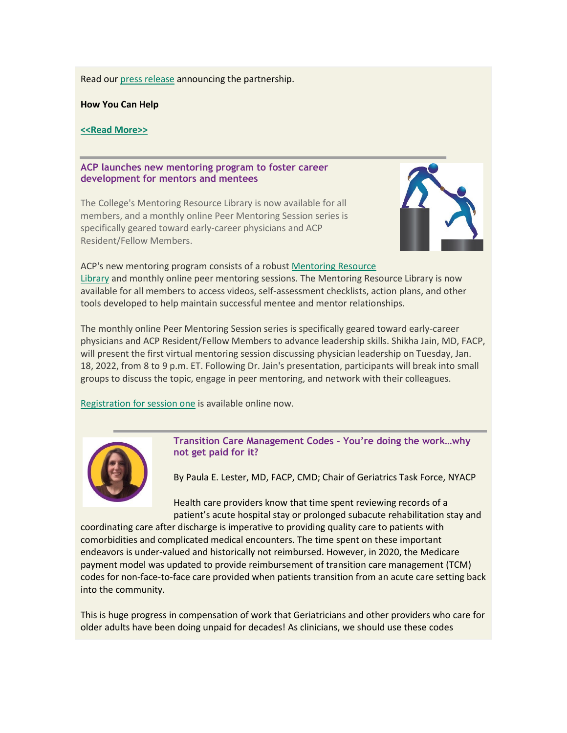Read our [press release](https://www.votervoice.net/BroadcastLinks/BFgCv6OXvS_IBHxnhYQrRA) announcing the partnership.

**How You Can Help**

#### **[<<Read More>>](https://www.votervoice.net/BroadcastLinks/_6X2uFkCv-fYg9r3jcJwLg)**

#### **ACP launches new mentoring program to foster career development for mentors and mentees**

The College's Mentoring Resource Library is now available for all members, and a monthly online Peer Mentoring Session series is specifically geared toward early-career physicians and ACP Resident/Fellow Members.



ACP's new mentoring program consists of a robust [Mentoring Resource](https://www.votervoice.net/BroadcastLinks/gkQJ88iKDnGmkFKaN37xbg)  [Library](https://www.votervoice.net/BroadcastLinks/gkQJ88iKDnGmkFKaN37xbg) and monthly online peer mentoring sessions. The Mentoring Resource Library is now available for all members to access videos, self-assessment checklists, action plans, and other tools developed to help maintain successful mentee and mentor relationships.

The monthly online Peer Mentoring Session series is specifically geared toward early-career physicians and ACP Resident/Fellow Members to advance leadership skills. Shikha Jain, MD, FACP, will present the first virtual mentoring session discussing physician leadership on Tuesday, Jan. 18, 2022, from 8 to 9 p.m. ET. Following Dr. Jain's presentation, participants will break into small groups to discuss the topic, engage in peer mentoring, and network with their colleagues.

[Registration for session one](https://www.votervoice.net/BroadcastLinks/Uqk77ITTFWC8nfIIPhGS-A) is available online now.



**Transition Care Management Codes – You're doing the work…why not get paid for it?**

By Paula E. Lester, MD, FACP, CMD; Chair of Geriatrics Task Force, NYACP

Health care providers know that time spent reviewing records of a patient's acute hospital stay or prolonged subacute rehabilitation stay and

coordinating care after discharge is imperative to providing quality care to patients with comorbidities and complicated medical encounters. The time spent on these important endeavors is under-valued and historically not reimbursed. However, in 2020, the Medicare payment model was updated to provide reimbursement of transition care management (TCM) codes for non-face-to-face care provided when patients transition from an acute care setting back into the community.

This is huge progress in compensation of work that Geriatricians and other providers who care for older adults have been doing unpaid for decades! As clinicians, we should use these codes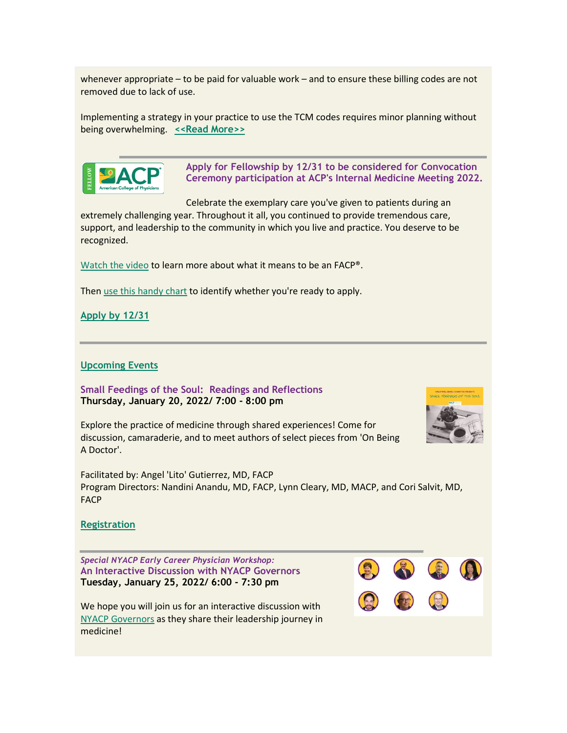whenever appropriate – to be paid for valuable work – and to ensure these billing codes are not removed due to lack of use.

Implementing a strategy in your practice to use the TCM codes requires minor planning without being overwhelming. **[<<Read More>>](https://www.votervoice.net/BroadcastLinks/_6X2uFkCv-fYg9r3jcJwLg)**



**Apply for Fellowship by 12/31 to be considered for Convocation Ceremony participation at ACP's Internal Medicine Meeting 2022.**

Celebrate the exemplary care you've given to patients during an

extremely challenging year. Throughout it all, you continued to provide tremendous care, support, and leadership to the community in which you live and practice. You deserve to be recognized.

[Watch the video](https://www.votervoice.net/BroadcastLinks/AdXzw9GsNTAzBsokCmLU_g) to learn more about what it means to be an FACP®.

Then [use this handy chart](https://www.votervoice.net/BroadcastLinks/F9ChcEWBOdDe706MLNShxQ) to identify whether you're ready to apply.

**[Apply by 12/31](https://www.votervoice.net/BroadcastLinks/r7f7dBGT67hkJ1IlkH-5AA)**

### **[Upcoming Events](https://www.votervoice.net/BroadcastLinks/fKuhXlxAxAJjL3qHtuOmRw)**

**Small Feedings of the Soul: Readings and Reflections Thursday, January 20, 2022/ 7:00 - 8:00 pm**



Explore the practice of medicine through shared experiences! Come for discussion, camaraderie, and to meet authors of select pieces from 'On Being A Doctor'.

Facilitated by: Angel 'Lito' Gutierrez, MD, FACP Program Directors: Nandini Anandu, MD, FACP, Lynn Cleary, MD, MACP, and Cori Salvit, MD, FACP

#### **[Registration](https://www.votervoice.net/BroadcastLinks/avPC0Ugx7p_XfPY0PZTyqQ)**

*Special NYACP Early Career Physician Workshop:* **An Interactive Discussion with NYACP Governors Tuesday, January 25, 2022/ 6:00 - 7:30 pm**

We hope you will join us for an interactive discussion with [NYACP Governors](https://www.votervoice.net/BroadcastLinks/6tfMQ9MyA-6B0IZiHgO4Zw) as they share their leadership journey in medicine!

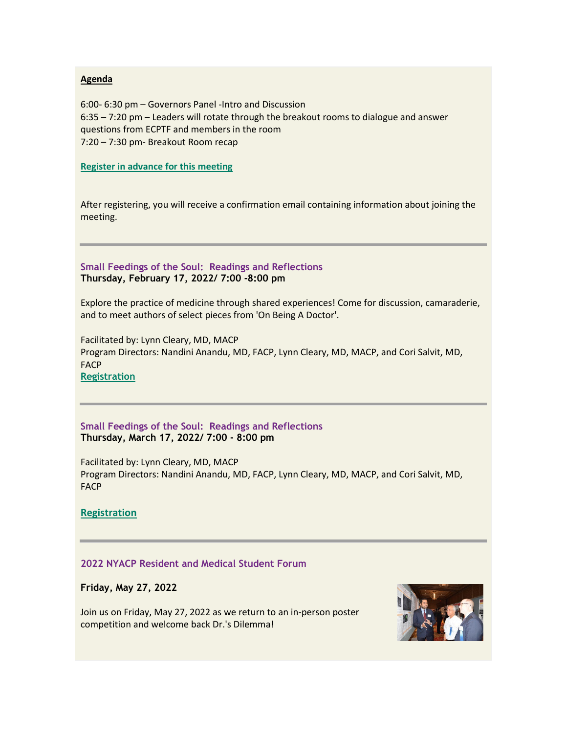#### **Agenda**

6:00- 6:30 pm – Governors Panel -Intro and Discussion 6:35 – 7:20 pm – Leaders will rotate through the breakout rooms to dialogue and answer questions from ECPTF and members in the room 7:20 – 7:30 pm- Breakout Room recap

**[Register in advance for this meeting](https://www.votervoice.net/BroadcastLinks/yE2_GfaeKb3tLhd2g92KUg)**

After registering, you will receive a confirmation email containing information about joining the meeting.

# **Small Feedings of the Soul: Readings and Reflections Thursday, February 17, 2022/ 7:00 -8:00 pm**

Explore the practice of medicine through shared experiences! Come for discussion, camaraderie, and to meet authors of select pieces from 'On Being A Doctor'.

Facilitated by: Lynn Cleary, MD, MACP Program Directors: Nandini Anandu, MD, FACP, Lynn Cleary, MD, MACP, and Cori Salvit, MD, **FACP [Registration](https://www.votervoice.net/BroadcastLinks/RerS1IMwNWJMiUb27VrXhQ)**

**Small Feedings of the Soul: Readings and Reflections Thursday, March 17, 2022/ 7:00 - 8:00 pm**

Facilitated by: Lynn Cleary, MD, MACP Program Directors: Nandini Anandu, MD, FACP, Lynn Cleary, MD, MACP, and Cori Salvit, MD, **FACP** 

**[Registration](https://www.votervoice.net/BroadcastLinks/XsvdlPQlpMC4m7trvmpK4g)**

# **2022 NYACP Resident and Medical Student Forum**

**Friday, May 27, 2022**

Join us on Friday, May 27, 2022 as we return to an in-person poster competition and welcome back Dr.'s Dilemma!